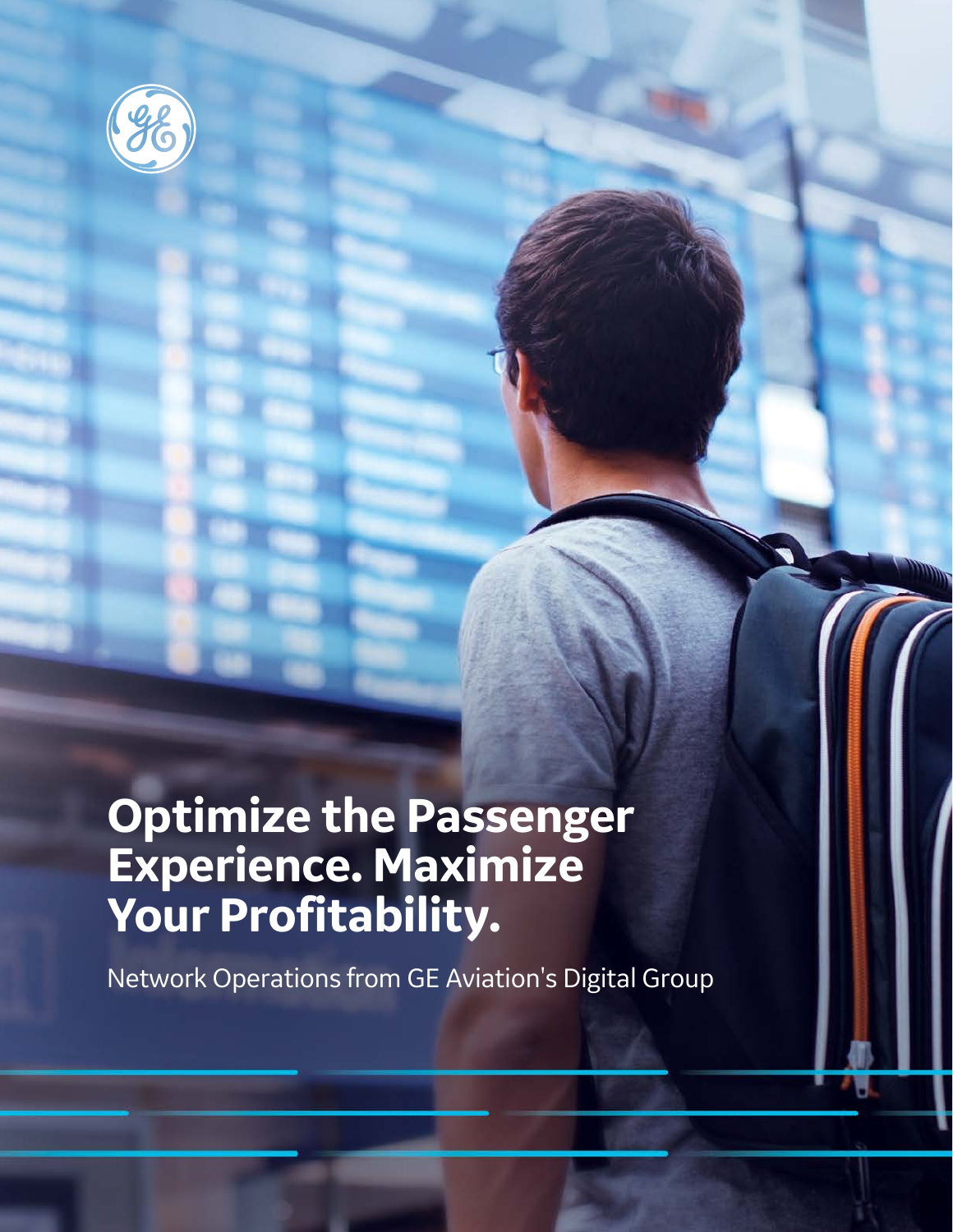

## **Optimize the Passenger Experience. Maximize Your Profitability.**

Network Operations from GE Aviation's Digital Group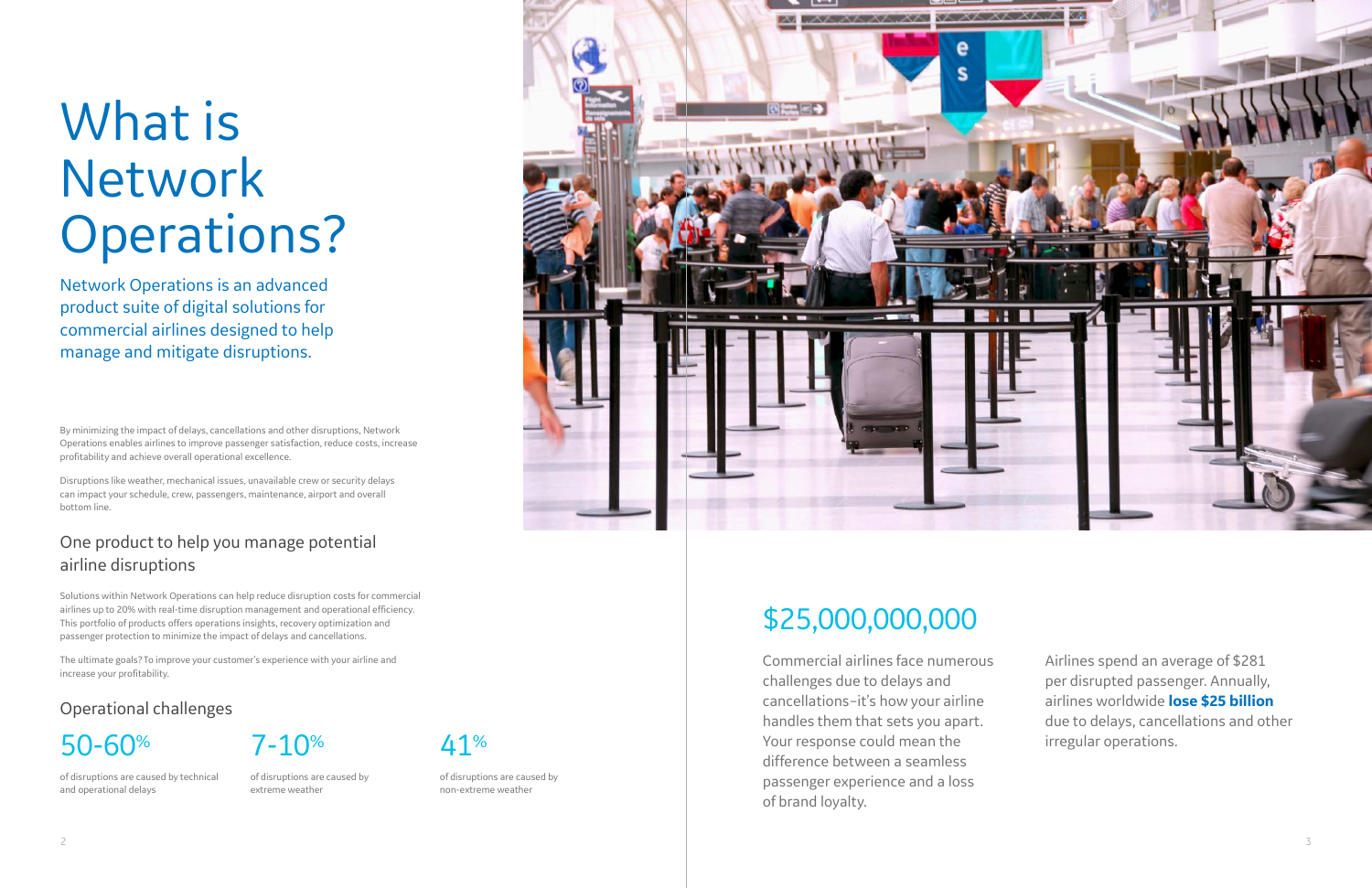By minimizing the impact of delays, cancellations and other disruptions, Network Operations enables airlines to improve passenger satisfaction, reduce costs, increase profitability and achieve overall operational excellence.

Disruptions like weather, mechanical issues, unavailable crew or security delays can impact your schedule, crew, passengers, maintenance, airport and overall bottom line.

### One product to help you manage potential airline disruptions

Solutions within Network Operations can help reduce disruption costs for commercial airlines up to 20% with real-time disruption management and operational efficiency. This portfolio of products offers operations insights, recovery optimization and passenger protection to minimize the impact of delays and cancellations.

The ultimate goals? To improve your customer's experience with your airline and increase your profitability.

Network Operations is an advanced product suite of digital solutions for commercial airlines designed to help manage and mitigate disruptions.

### Operational challenges



of disruptions are caused by technical and operational delays

of disruptions are caused by extreme weather



of disruptions are caused by non-extreme weather



Commercial airlines face numerous challenges due to delays and cancellations–it's how your airline handles them that sets you apart. Your response could mean the difference between a seamless passenger experience and a loss of brand loyalty.

Airlines spend an average of \$281 per disrupted passenger. Annually, airlines worldwide **lose \$25 billion** due to delays, cancellations and other irregular operations.

# What is Network Operations?

## \$25,000,000,000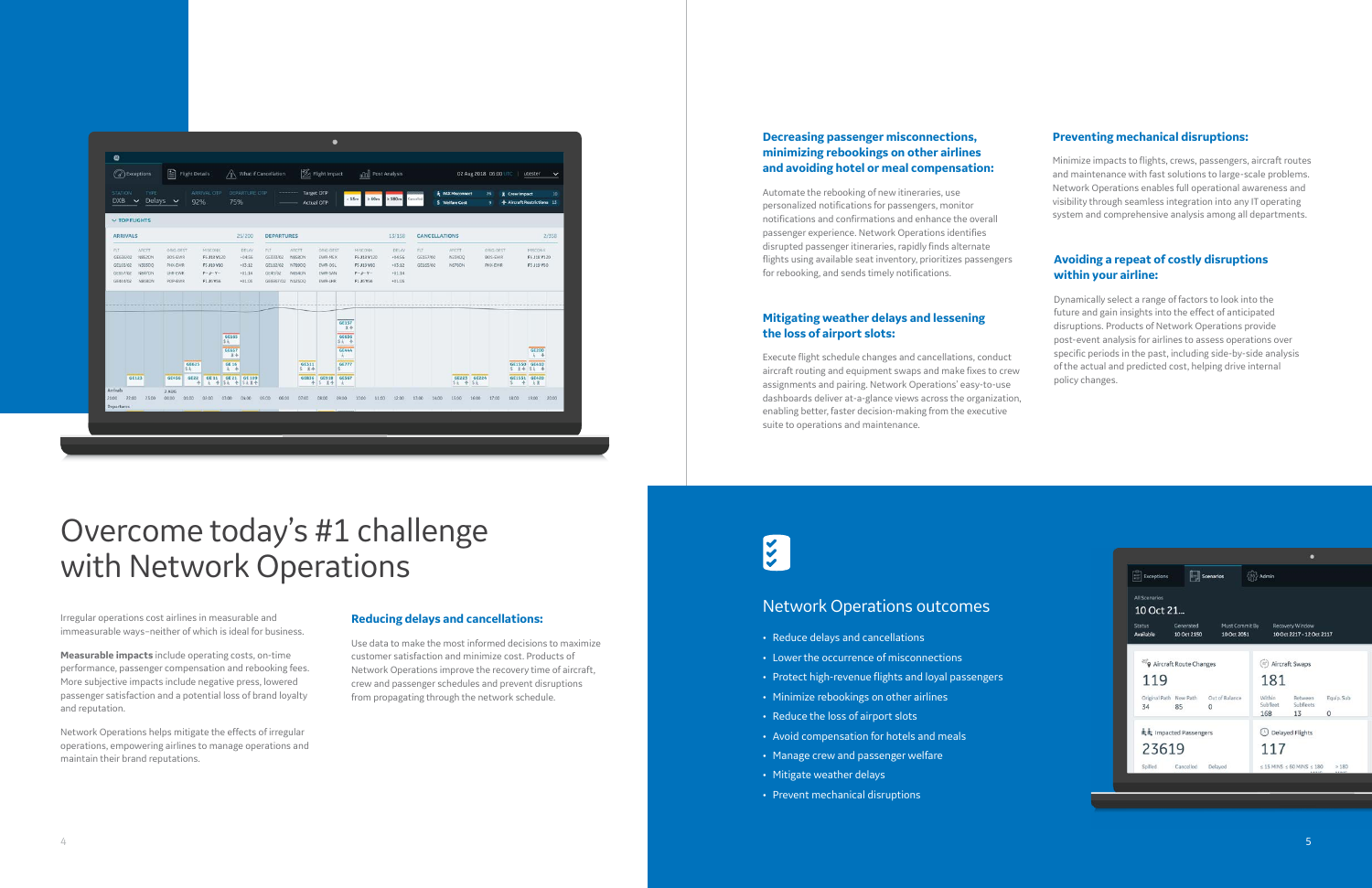#### **Reducing delays and cancellations:**

Use data to make the most informed decisions to maximize customer satisfaction and minimize cost. Products of Network Operations improve the recovery time of aircraft, crew and passenger schedules and prevent disruptions from propagating through the network schedule.

#### **Avoiding a repeat of costly disruptions within your airline:**

Dynamically select a range of factors to look into the future and gain insights into the effect of anticipated disruptions. Products of Network Operations provide post-event analysis for airlines to assess operations over specific periods in the past, including side-by-side analysis of the actual and predicted cost, helping drive internal policy changes.

| $\Xi$ Exceptions<br>Scenarios                                                           | $592$ Admin                                                                       |  |  |  |  |  |  |  |
|-----------------------------------------------------------------------------------------|-----------------------------------------------------------------------------------|--|--|--|--|--|--|--|
| <b>All Scenarios</b><br>10 Oct 21                                                       |                                                                                   |  |  |  |  |  |  |  |
| Generated<br>Must Commit By<br><b>Status</b><br>Available<br>10 Oct 2051<br>10 Oct 2150 | Recovery Window<br>10 Oct 2217 - 12 Oct 2117                                      |  |  |  |  |  |  |  |
| <sup>87</sup> 9 Aircraft Route Changes                                                  | (#) Aircraft Swaps                                                                |  |  |  |  |  |  |  |
| 119                                                                                     | 181                                                                               |  |  |  |  |  |  |  |
| Original Path New Path<br>Out of Balance<br>34<br>85<br>0                               | Within<br>Equip. Sub<br>Between<br>Subfleet<br>Subfleets<br>168<br>13<br>$\Omega$ |  |  |  |  |  |  |  |
| kk Impacted Passengers                                                                  | <b>O</b> Delayed Flights                                                          |  |  |  |  |  |  |  |
| 23619                                                                                   | 117                                                                               |  |  |  |  |  |  |  |
| Spilled<br>Cancelled<br>Delayed                                                         | $\leq$ 15 MINS $\leq$ 60 MINS $\leq$ 180<br>>180                                  |  |  |  |  |  |  |  |

#### **Preventing mechanical disruptions:**

Minimize impacts to flights, crews, passengers, aircraft routes and maintenance with fast solutions to large-scale problems. Network Operations enables full operational awareness and visibility through seamless integration into any IT operating system and comprehensive analysis among all departments.

#### **Mitigating weather delays and lessening the loss of airport slots:**

Execute flight schedule changes and cancellations, conduct aircraft routing and equipment swaps and make fixes to crew assignments and pairing. Network Operations' easy-to-use dashboards deliver at-a-glance views across the organization, enabling better, faster decision-making from the executive suite to operations and maintenance.

## $\frac{1}{2}$

#### **Decreasing passenger misconnections, minimizing rebookings on other airlines and avoiding hotel or meal compensation:**

Automate the rebooking of new itineraries, use personalized notifications for passengers, monitor notifications and confirmations and enhance the overall passenger experience. Network Operations identifies disrupted passenger itineraries, rapidly finds alternate flights using available seat inventory, prioritizes passengers for rebooking, and sends timely notifications.

Irregular operations cost airlines in measurable and immeasurable ways–neither of which is ideal for business.

**Measurable impacts** include operating costs, on-time performance, passenger compensation and rebooking fees. More subjective impacts include negative press, lowered passenger satisfaction and a potential loss of brand loyalty and reputation.

Network Operations helps mitigate the effects of irregular operations, empowering airlines to manage operations and maintain their brand reputations.

|                                                      |              | (a) Exceptions                                |                                                              | Flight Details  |                                                                    |                              | What if Cancellation                                  |                                        |                           |                            | Flight Impact                                         |                                                            | allal Post Analysis                                                |                      |                                                     | 02 Aug 2018 06:00 UTC<br>utester<br>$\checkmark$ |                                           |                |             |                                        |                                             |                                             |                  |
|------------------------------------------------------|--------------|-----------------------------------------------|--------------------------------------------------------------|-----------------|--------------------------------------------------------------------|------------------------------|-------------------------------------------------------|----------------------------------------|---------------------------|----------------------------|-------------------------------------------------------|------------------------------------------------------------|--------------------------------------------------------------------|----------------------|-----------------------------------------------------|--------------------------------------------------|-------------------------------------------|----------------|-------------|----------------------------------------|---------------------------------------------|---------------------------------------------|------------------|
| <b>STATION</b><br>$DXB \sim$                         |              | TYPE                                          | Delays $\sim$                                                | 92%             | ARRIVAL OTP                                                        | 75%                          | <b>DEPARTURE OTP</b>                                  |                                        | -------                   | Target OTP<br>Actual OTP   |                                                       |                                                            | >15m<br>2.60m                                                      |                      | $\geq 180m$                                         | Cancelled                                        | <b>A PAX Misconnect</b><br>S Welfare Cost |                |             | 26<br>۰                                | E Crew Impact<br>← Aircraft Restrictions 13 |                                             | 10 <sub>10</sub> |
| $\times$ TOP FLIGHTS                                 |              |                                               |                                                              |                 |                                                                    |                              |                                                       |                                        |                           |                            |                                                       |                                                            |                                                                    |                      |                                                     |                                                  |                                           |                |             |                                        |                                             |                                             |                  |
| <b>ARRIVALS</b>                                      |              |                                               |                                                              |                 | 25/200                                                             | <b>DEPARTURES</b>            |                                                       |                                        |                           |                            |                                                       |                                                            | 13/158                                                             | <b>CANCELLATIONS</b> |                                                     |                                                  |                                           |                | 2/358       |                                        |                                             |                                             |                  |
| FLT.<br>GE636/02<br>GE165/02<br>GE657/02<br>GE444/02 |              | ARCFT<br>N852DN<br>N303DO<br>N847DN<br>N868DN | ORIG-DEST<br><b>BOS-EWR</b><br>PHX-EWR<br>LHR-EWR<br>POP-EWR |                 | MISCONX<br>F6 J18 Y120<br>F5 J19 Y80<br>$F - J - Y -$<br>F1 J6 Y56 |                              | DELAY<br>$+04:56$<br>$+03:12$<br>$+01:14$<br>$+01:03$ | FLT<br>GE333/02<br>GE112/02<br>GE45/02 | ARCFT<br>GE6967/02 N123DO | N858DN<br>N789DO<br>N654DN | ORIG-DEST<br>EWR-MEX<br>EWR-OSL<br>EWR-SAN<br>EWR-LHR |                                                            | MISCONK<br>F6 J18 V120<br>F5 J19 V80<br>$F - J - V -$<br>F1 J6 Y56 |                      | DELAY<br>$+04.56$<br>$+03:12$<br>+01:14<br>$+01:03$ | FLT<br>GE157/02<br>GE165/02                      | ARCET<br>N234DO<br>N678DN                 |                |             | ORIG-DEST<br><b>BOS-EWR</b><br>PHX-EWR |                                             | <b>MISCONX</b><br>F6 J18 Y120<br>F5 J19 Y80 |                  |
|                                                      |              |                                               |                                                              |                 |                                                                    |                              |                                                       |                                        |                           |                            |                                                       |                                                            |                                                                    |                      |                                                     |                                                  |                                           |                |             |                                        |                                             |                                             |                  |
|                                                      |              |                                               |                                                              |                 |                                                                    | GE165<br>Sk.<br><b>GE657</b> |                                                       |                                        |                           |                            |                                                       | <b>GE157</b><br>显卡<br><b>GE636</b><br>5点 卡<br><b>GE444</b> |                                                                    |                      |                                                     |                                                  |                                           |                |             |                                        |                                             | <b>GE200</b>                                |                  |
|                                                      |              |                                               |                                                              | GE625           |                                                                    | 豆卡<br>GE 16                  |                                                       |                                        |                           | <b>GE311</b>               |                                                       | $\mathcal{X}$<br><b>GE777</b>                              |                                                                    |                      |                                                     |                                                  |                                           |                |             |                                        | <b>GE1550 GE410</b>                         | 无 士                                         |                  |
|                                                      | <b>GE123</b> |                                               | <b>GE456</b>                                                 | 言え<br>GE22<br>÷ | <b>GE11</b>                                                        | <b>A</b>                     | GE 21 GE 109<br><b>◆ SE ◆ SE H</b>                    |                                        |                           | $5 + 14$<br><b>GE836</b>   | GE918<br><b>★ S 显卡</b>                                | s.<br><b>GE567</b><br>$\pm$                                |                                                                    |                      |                                                     |                                                  |                                           | <b>Sk + Sk</b> | GE223 GE224 |                                        | S 24 St +<br>GE1551 GE420<br>5 今 夫皇         |                                             |                  |
| Arrivals<br>21:00<br>Departures                      | 22:00        | 23:00                                         | $2$ AUG<br>00:00                                             | 01:00           | $\langle \cdot   \cdot \rangle$<br>02:00                           | 03:00                        | 04:00                                                 | 05:00                                  | 06:00                     | 07:00                      | 08:00                                                 | 09:00                                                      | 10:00                                                              | 11:00                | 12:00                                               | 13:00                                            | 14:00<br>15:00                            |                | 16:00       | 17:00                                  | 18:00                                       | 19:00                                       | 20:00            |

## Overcome today's #1 challenge with Network Operations

#### Network Operations outcomes

- Reduce delays and cancellations
- Lower the occurrence of misconnections
- Protect high-revenue flights and loyal passengers
- Minimize rebookings on other airlines
- Reduce the loss of airport slots
- Avoid compensation for hotels and meals
- Manage crew and passenger welfare
- Mitigate weather delays
- Prevent mechanical disruptions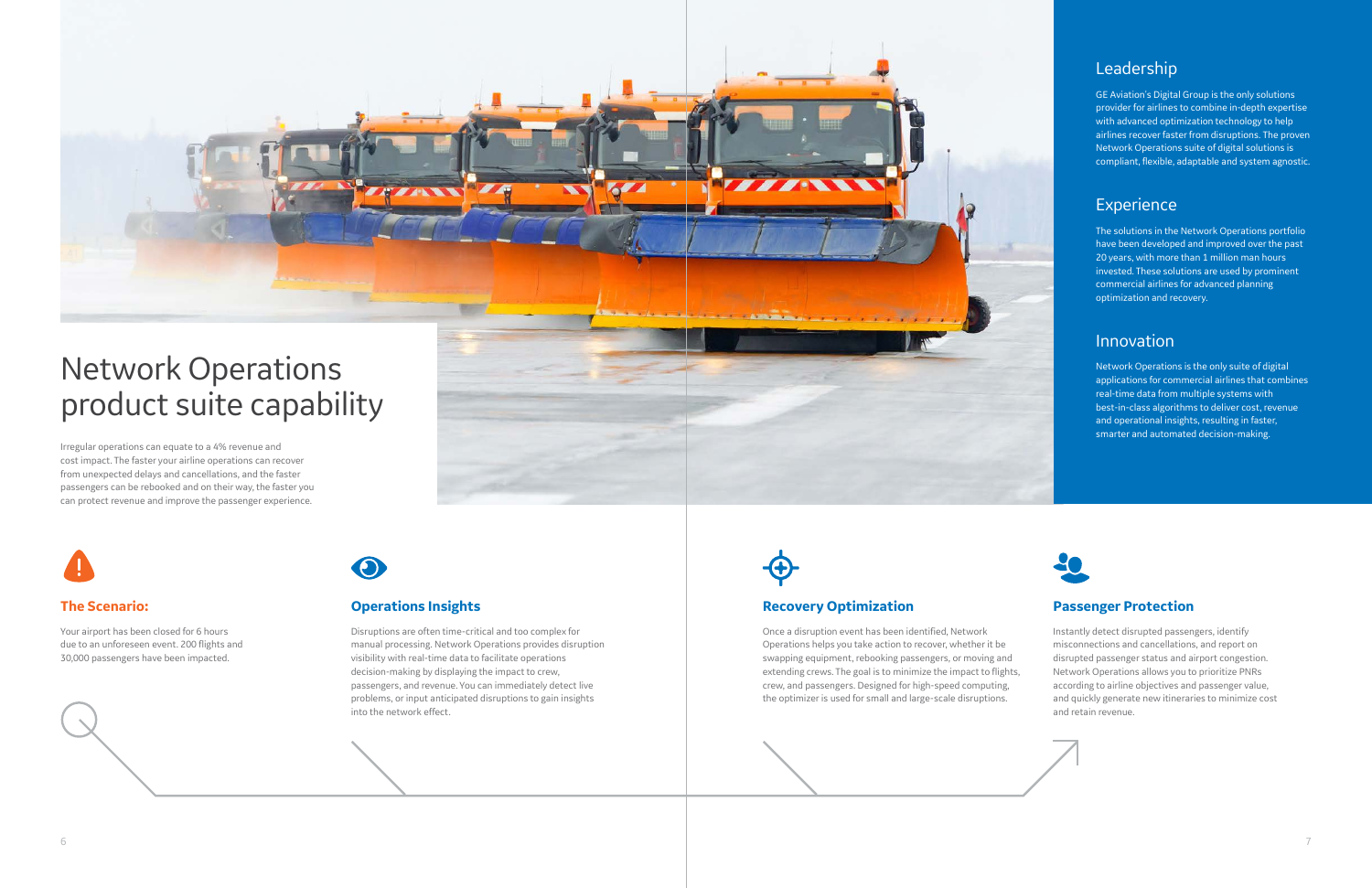Irregular operations can equate to a 4% revenue and cost impact. The faster your airline operations can recover from unexpected delays and cancellations, and the faster passengers can be rebooked and on their way, the faster you can protect revenue and improve the passenger experience.





## Network Operations product suite capability

#### **Operations Insights**

Disruptions are often time-critical and too complex for manual processing. Network Operations provides disruption visibility with real-time data to facilitate operations decision-making by displaying the impact to crew, passengers, and revenue. You can immediately detect live problems, or input anticipated disruptions to gain insights into the network effect.



#### **The Scenario:**

Your airport has been closed for 6 hours due to an unforeseen event. 200 flights and 30,000 passengers have been impacted.



### Leadership

GE Aviation's Digital Group is the only solutions provider for airlines to combine in-depth expertise with advanced optimization technology to help airlines recover faster from disruptions. The proven Network Operations suite of digital solutions is compliant, flexible, adaptable and system agnostic.

### Experience

The solutions in the Network Operations portfolio have been developed and improved over the past 20 years, with more than 1 million man hours invested. These solutions are used by prominent commercial airlines for advanced planning optimization and recovery.

#### Innovation

Network Operations is the only suite of digital applications for commercial airlines that combines real-time data from multiple systems with best-in-class algorithms to deliver cost, revenue and operational insights, resulting in faster, smarter and automated decision-making.



#### **Recovery Optimization**

Once a disruption event has been identified, Network Operations helps you take action to recover, whether it be swapping equipment, rebooking passengers, or moving and extending crews. The goal is to minimize the impact to flights, crew, and passengers. Designed for high-speed computing, the optimizer is used for small and large-scale disruptions.

#### **Passenger Protection**

Instantly detect disrupted passengers, identify misconnections and cancellations, and report on disrupted passenger status and airport congestion. Network Operations allows you to prioritize PNRs according to airline objectives and passenger value, and quickly generate new itineraries to minimize cost and retain revenue.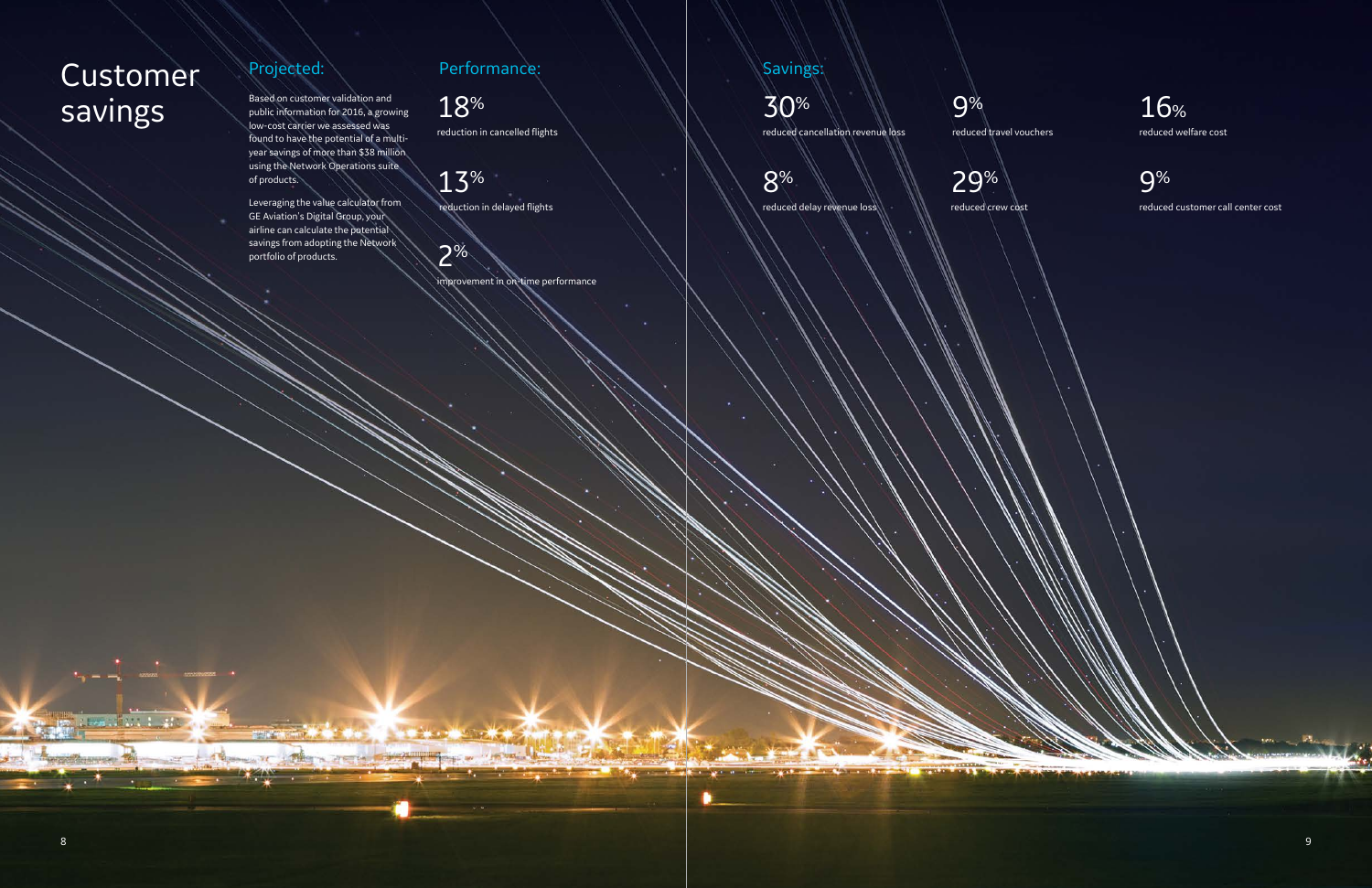فالعرب خنيف

### Projected:

Based on customer validation and public information for 2016, a growing low-cost carrier we assessed was found to have the potential of a multiyear savings of more than \$38 million using the Network Operations suite of products.

Leveraging the value calculator from GE Aviation's Digital Group, your airline can calculate the potential savings from adopting the Network portfolio of products.

Performance:

18%

reduction in cancelled flights

13%

reduction in delayed flights

2% improvement in on-time performance

## Customer savings

Savings:

30% reduced cancellation revenue loss

8%

reduced delay revenue loss

9%

reduced travel vouchers

29% reduced crew cost

**START** 

16% reduced welfare cost

9% reduced customer call center cost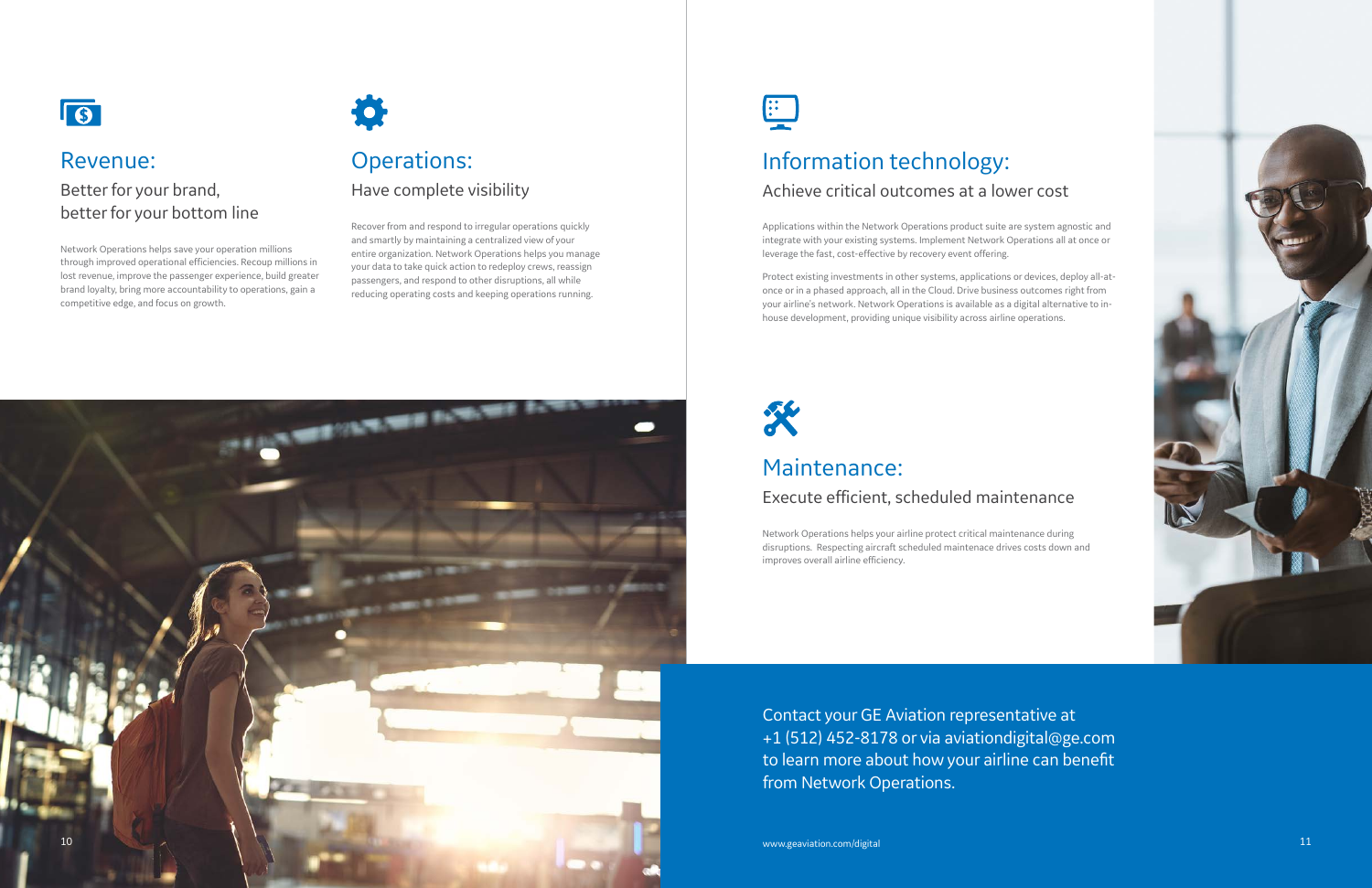

## Operations: Have complete visibility

Recover from and respond to irregular operations quickly and smartly by maintaining a centralized view of your entire organization. Network Operations helps you manage your data to take quick action to redeploy crews, reassign passengers, and respond to other disruptions, all while reducing operating costs and keeping operations running.

## E



## Revenue:

### Better for your brand, better for your bottom line

Network Operations helps save your operation millions through improved operational efficiencies. Recoup millions in lost revenue, improve the passenger experience, build greater brand loyalty, bring more accountability to operations, gain a competitive edge, and focus on growth.



## Information technology:

### Achieve critical outcomes at a lower cost

Applications within the Network Operations product suite are system agnostic and integrate with your existing systems. Implement Network Operations all at once or leverage the fast, cost-effective by recovery event offering.

Protect existing investments in other systems, applications or devices, deploy all-atonce or in a phased approach, all in the Cloud. Drive business outcomes right from your airline's network. Network Operations is available as a digital alternative to inhouse development, providing unique visibility across airline operations.



### Maintenance:

### Execute efficient, scheduled maintenance

Network Operations helps your airline protect critical maintenance during disruptions. Respecting aircraft scheduled maintenace drives costs down and improves overall airline efficiency.

Contact your GE Aviation representative at +1 (512) 452-8178 or via aviationdigital@ge.com to learn more about how your airline can benefit from Network Operations.